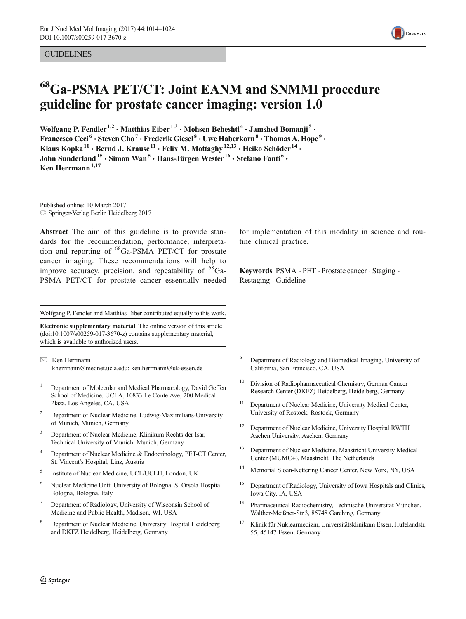#### **GUIDELINES**



# 68Ga-PSMA PET/CT: Joint EANM and SNMMI procedure guideline for prostate cancer imaging: version 1.0

Wolfgang P. Fendler<sup>1,2</sup>  $\cdot$  Matthias Eiber<sup>1,3</sup>  $\cdot$  Mohsen Beheshti<sup>4</sup>  $\cdot$  Jamshed Bomanji<sup>5</sup>  $\cdot$ Francesco Ceci<sup>6</sup>  $\cdot$  Steven Cho<sup>7</sup>  $\cdot$  Frederik Giesel<sup>8</sup>  $\cdot$  Uwe Haberkorn<sup>8</sup>  $\cdot$  Thomas A. Hope<sup>9</sup>  $\cdot$ Klaus Kopka<sup>10</sup> · Bernd J. Krause<sup>11</sup> · Felix M. Mottaghy<sup>12,13</sup> · Heiko Schöder<sup>14</sup> · John Sunderland<sup>15</sup> · Simon Wan<sup>5</sup> · Hans-Jürgen Wester<sup>16</sup> · Stefano Fanti<sup>6</sup> · Ken Herrmann $1,17$ 

Published online: 10 March 2017  $\oslash$  Springer-Verlag Berlin Heidelberg 2017

Abstract The aim of this guideline is to provide standards for the recommendation, performance, interpretation and reporting of  ${}^{68}Ga-PSMA$  PET/CT for prostate cancer imaging. These recommendations will help to improve accuracy, precision, and repeatability of  ${}^{68}$ Ga-PSMA PET/CT for prostate cancer essentially needed

Wolfgang P. Fendler and Matthias Eiber contributed equally to this work.

Electronic supplementary material The online version of this article (doi[:10.1007/s00259-017-3670-z\)](http://dx.doi.org/10.1007/s00259-017-3670-z) contains supplementary material, which is available to authorized users.

 $\boxtimes$  Ken Herrmann kherrmann@mednet.ucla.edu; ken.herrmann@uk-essen.de

- <sup>1</sup> Department of Molecular and Medical Pharmacology, David Geffen School of Medicine, UCLA, 10833 Le Conte Ave, 200 Medical Plaza, Los Angeles, CA, USA
- <sup>2</sup> Department of Nuclear Medicine, Ludwig-Maximilians-University of Munich, Munich, Germany
- <sup>3</sup> Department of Nuclear Medicine, Klinikum Rechts der Isar, Technical University of Munich, Munich, Germany
- Department of Nuclear Medicine & Endocrinology, PET-CT Center, St. Vincent's Hospital, Linz, Austria
- <sup>5</sup> Institute of Nuclear Medicine, UCL/UCLH, London, UK
- <sup>6</sup> Nuclear Medicine Unit, University of Bologna, S. Orsola Hospital Bologna, Bologna, Italy
- <sup>7</sup> Department of Radiology, University of Wisconsin School of Medicine and Public Health, Madison, WI, USA
- <sup>8</sup> Department of Nuclear Medicine, University Hospital Heidelberg and DKFZ Heidelberg, Heidelberg, Germany

for implementation of this modality in science and routine clinical practice.

Keywords PSMA . PET . Prostate cancer . Staging . Restaging . Guideline

- <sup>9</sup> Department of Radiology and Biomedical Imaging, University of California, San Francisco, CA, USA
- <sup>10</sup> Division of Radiopharmaceutical Chemistry, German Cancer Research Center (DKFZ) Heidelberg, Heidelberg, Germany
- <sup>11</sup> Department of Nuclear Medicine, University Medical Center, University of Rostock, Rostock, Germany
- <sup>12</sup> Department of Nuclear Medicine, University Hospital RWTH Aachen University, Aachen, Germany
- <sup>13</sup> Department of Nuclear Medicine, Maastricht University Medical Center (MUMC+), Maastricht, The Netherlands
- Memorial Sloan-Kettering Cancer Center, New York, NY, USA
- <sup>15</sup> Department of Radiology, University of Iowa Hospitals and Clinics, Iowa City, IA, USA
- <sup>16</sup> Pharmaceutical Radiochemistry, Technische Universität München, Walther-Meißner-Str.3, 85748 Garching, Germany
- <sup>17</sup> Klinik für Nuklearmedizin, Universitätsklinikum Essen, Hufelandstr. 55, 45147 Essen, Germany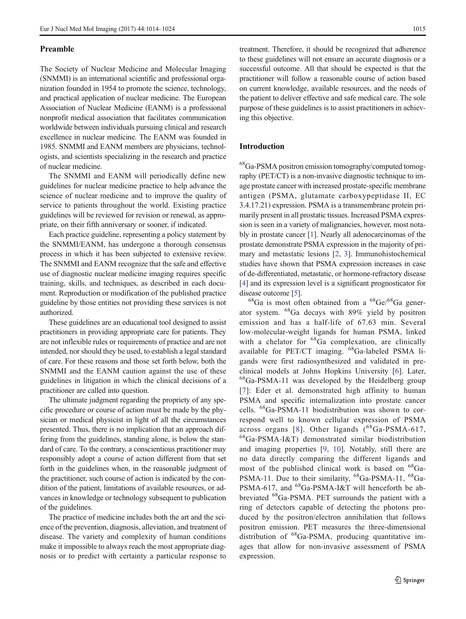#### Preamble

The Society of Nuclear Medicine and Molecular Imaging (SNMMI) is an international scientific and professional organization founded in 1954 to promote the science, technology, and practical application of nuclear medicine. The European Association of Nuclear Medicine (EANM) is a professional nonprofit medical association that facilitates communication worldwide between individuals pursuing clinical and research excellence in nuclear medicine. The EANM was founded in 1985. SNMMI and EANM members are physicians, technologists, and scientists specializing in the research and practice of nuclear medicine.

The SNMMI and EANM will periodically define new guidelines for nuclear medicine practice to help advance the science of nuclear medicine and to improve the quality of service to patients throughout the world. Existing practice guidelines will be reviewed for revision or renewal, as appropriate, on their fifth anniversary or sooner, if indicated.

Each practice guideline, representing a policy statement by the SNMMI/EANM, has undergone a thorough consensus process in which it has been subjected to extensive review. The SNMMI and EANM recognize that the safe and effective use of diagnostic nuclear medicine imaging requires specific training, skills, and techniques, as described in each document. Reproduction or modification of the published practice guideline by those entities not providing these services is not authorized.

These guidelines are an educational tool designed to assist practitioners in providing appropriate care for patients. They are not inflexible rules or requirements of practice and are not intended, nor should they be used, to establish a legal standard of care. For these reasons and those set forth below, both the SNMMI and the EANM caution against the use of these guidelines in litigation in which the clinical decisions of a practitioner are called into question.

The ultimate judgment regarding the propriety of any specific procedure or course of action must be made by the physician or medical physicist in light of all the circumstances presented. Thus, there is no implication that an approach differing from the guidelines, standing alone, is below the standard of care. To the contrary, a conscientious practitioner may responsibly adopt a course of action different from that set forth in the guidelines when, in the reasonable judgment of the practitioner, such course of action is indicated by the condition of the patient, limitations of available resources, or advances in knowledge or technology subsequent to publication of the guidelines.

The practice of medicine includes both the art and the science of the prevention, diagnosis, alleviation, and treatment of disease. The variety and complexity of human conditions make it impossible to always reach the most appropriate diagnosis or to predict with certainty a particular response to

treatment. Therefore, it should be recognized that adherence to these guidelines will not ensure an accurate diagnosis or a successful outcome. All that should be expected is that the practitioner will follow a reasonable course of action based on current knowledge, available resources, and the needs of the patient to deliver effective and safe medical care. The sole purpose of these guidelines is to assist practitioners in achieving this objective.

#### Introduction

68Ga-PSMA positron emission tomography/computed tomography (PET/CT) is a non-invasive diagnostic technique to image prostate cancer with increased prostate-specific membrane antigen (PSMA, glutamate carboxypeptidase II, EC 3.4.17.21) expression. PSMA is a transmembrane protein primarily present in all prostatic tissues. Increased PSMA expression is seen in a variety of malignancies, however, most notably in prostate cancer [\[1](#page-8-0)]. Nearly all adenocarcinomas of the prostate demonstrate PSMA expression in the majority of primary and metastatic lesions [\[2](#page-8-0), [3\]](#page-8-0). Immunohistochemical studies have shown that PSMA expression increases in case of de-differentiated, metastatic, or hormone-refractory disease [\[4](#page-8-0)] and its expression level is a significant prognosticator for disease outcome [[5\]](#page-8-0).

 ${}^{68}Ga$  is most often obtained from a  ${}^{68}Ge/{}^{68}Ga$  generator system. 68Ga decays with 89% yield by positron emission and has a half-life of 67.63 min. Several low-molecular-weight ligands for human PSMA, linked with a chelator for <sup>68</sup>Ga complexation, are clinically available for PET/CT imaging. 68Ga-labeled PSMA ligands were first radiosynthesized and validated in preclinical models at Johns Hopkins University [[6](#page-9-0)]. Later, <sup>68</sup>Ga-PSMA-11 was developed by the Heidelberg group [[7\]](#page-9-0): Eder et al. demonstrated high affinity to human PSMA and specific internalization into prostate cancer cells. 68Ga-PSMA-11 biodistribution was shown to correspond well to known cellular expression of PSMA across organs [[8\]](#page-9-0). Other ligands  $(^{68}Ga-PSMA-617$ , 68Ga-PSMA-I&T) demonstrated similar biodistribution and imaging properties [[9](#page-9-0), [10\]](#page-9-0). Notably, still there are no data directly comparing the different ligands and most of the published clinical work is based on <sup>68</sup>Ga-PSMA-11. Due to their similarity, <sup>68</sup>Ga-PSMA-11, <sup>68</sup>Ga-PSMA-617, and <sup>68</sup>Ga-PSMA-I&T will henceforth be abbreviated 68Ga-PSMA. PET surrounds the patient with a ring of detectors capable of detecting the photons produced by the positron/electron annihilation that follows positron emission. PET measures the three-dimensional distribution of <sup>68</sup>Ga-PSMA, producing quantitative images that allow for non-invasive assessment of PSMA expression.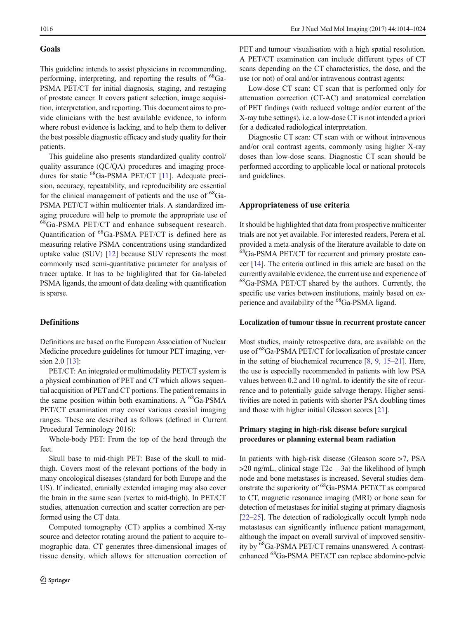# Goals

This guideline intends to assist physicians in recommending, performing, interpreting, and reporting the results of  ${}^{68}Ga-$ PSMA PET/CT for initial diagnosis, staging, and restaging of prostate cancer. It covers patient selection, image acquisition, interpretation, and reporting. This document aims to provide clinicians with the best available evidence, to inform where robust evidence is lacking, and to help them to deliver the best possible diagnostic efficacy and study quality for their patients.

This guideline also presents standardized quality control/ quality assurance (QC/QA) procedures and imaging proce-dures for static <sup>68</sup>Ga-PSMA PET/CT [[11](#page-9-0)]. Adequate precision, accuracy, repeatability, and reproducibility are essential for the clinical management of patients and the use of  ${}^{68}Ga-$ PSMA PET/CT within multicenter trials. A standardized imaging procedure will help to promote the appropriate use of  ${}^{68}Ga-PSMA$  PET/CT and enhance subsequent research. Quantification of 68Ga-PSMA PET/CT is defined here as measuring relative PSMA concentrations using standardized uptake value (SUV) [\[12\]](#page-9-0) because SUV represents the most commonly used semi-quantitative parameter for analysis of tracer uptake. It has to be highlighted that for Ga-labeled PSMA ligands, the amount of data dealing with quantification is sparse.

# **Definitions**

Definitions are based on the European Association of Nuclear Medicine procedure guidelines for tumour PET imaging, ver-sion 2.0 [[13\]](#page-9-0):

PET/CT: An integrated or multimodality PET/CT system is a physical combination of PET and CT which allows sequential acquisition of PET and CT portions. The patient remains in the same position within both examinations. A  $^{68}Ga-PSMA$ PET/CT examination may cover various coaxial imaging ranges. These are described as follows (defined in Current Procedural Terminology 2016):

Whole-body PET: From the top of the head through the feet.

Skull base to mid-thigh PET: Base of the skull to midthigh. Covers most of the relevant portions of the body in many oncological diseases (standard for both Europe and the US). If indicated, cranially extended imaging may also cover the brain in the same scan (vertex to mid-thigh). In PET/CT studies, attenuation correction and scatter correction are performed using the CT data.

Computed tomography (CT) applies a combined X-ray source and detector rotating around the patient to acquire tomographic data. CT generates three-dimensional images of tissue density, which allows for attenuation correction of

PET and tumour visualisation with a high spatial resolution. A PET/CT examination can include different types of CT scans depending on the CT characteristics, the dose, and the use (or not) of oral and/or intravenous contrast agents:

Low-dose CT scan: CT scan that is performed only for attenuation correction (CT-AC) and anatomical correlation of PET findings (with reduced voltage and/or current of the X-ray tube settings), i.e. a low-dose CT is not intended a priori for a dedicated radiological interpretation.

Diagnostic CT scan: CT scan with or without intravenous and/or oral contrast agents, commonly using higher X-ray doses than low-dose scans. Diagnostic CT scan should be performed according to applicable local or national protocols and guidelines.

#### Appropriateness of use criteria

It should be highlighted that data from prospective multicenter trials are not yet available. For interested readers, Perera et al. provided a meta-analysis of the literature available to date on 68Ga-PSMA PET/CT for recurrent and primary prostate cancer [\[14\]](#page-9-0). The criteria outlined in this article are based on the currently available evidence, the current use and experience of 68Ga-PSMA PET/CT shared by the authors. Currently, the specific use varies between institutions, mainly based on experience and availability of the <sup>68</sup>Ga-PSMA ligand.

#### Localization of tumour tissue in recurrent prostate cancer

Most studies, mainly retrospective data, are available on the use of <sup>68</sup>Ga-PSMA PET/CT for localization of prostate cancer in the setting of biochemical recurrence [[8,](#page-9-0) [9](#page-9-0), [15](#page-9-0)–[21](#page-9-0)]. Here, the use is especially recommended in patients with low PSA values between 0.2 and 10 ng/mL to identify the site of recurrence and to potentially guide salvage therapy. Higher sensitivities are noted in patients with shorter PSA doubling times and those with higher initial Gleason scores [\[21](#page-9-0)].

# Primary staging in high-risk disease before surgical procedures or planning external beam radiation

In patients with high-risk disease (Gleason score >7, PSA  $>$ 20 ng/mL, clinical stage T2c – 3a) the likelihood of lymph node and bone metastases is increased. Several studies demonstrate the superiority of 68Ga-PSMA PET/CT as compared to CT, magnetic resonance imaging (MRI) or bone scan for detection of metastases for initial staging at primary diagnosis [\[22](#page-9-0)–[25\]](#page-9-0). The detection of radiologically occult lymph node metastases can significantly influence patient management, although the impact on overall survival of improved sensitivity by 68Ga-PSMA PET/CT remains unanswered. A contrastenhanced 68Ga-PSMA PET/CT can replace abdomino-pelvic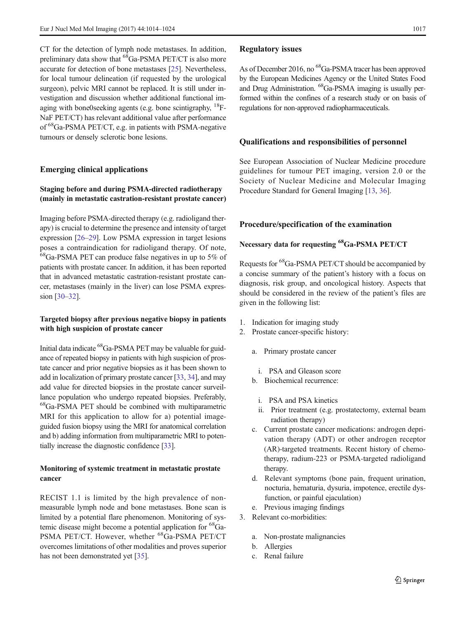CT for the detection of lymph node metastases. In addition, preliminary data show that <sup>68</sup>Ga-PSMA PET/CT is also more accurate for detection of bone metastases [[25](#page-9-0)]. Nevertheless, for local tumour delineation (if requested by the urological surgeon), pelvic MRI cannot be replaced. It is still under investigation and discussion whether additional functional imaging with bone0seeking agents (e.g. bone scintigraphy,  $^{18}$ F-NaF PET/CT) has relevant additional value after performance of 68Ga-PSMA PET/CT, e.g. in patients with PSMA-negative tumours or densely sclerotic bone lesions.

## Emerging clinical applications

## Staging before and during PSMA-directed radiotherapy (mainly in metastatic castration-resistant prostate cancer)

Imaging before PSMA-directed therapy (e.g. radioligand therapy) is crucial to determine the presence and intensity of target expression [[26](#page-9-0)–[29](#page-9-0)]. Low PSMA expression in target lesions poses a contraindication for radioligand therapy. Of note,  ${}^{68}$ Ga-PSMA PET can produce false negatives in up to 5% of patients with prostate cancer. In addition, it has been reported that in advanced metastatic castration-resistant prostate cancer, metastases (mainly in the liver) can lose PSMA expression [\[30](#page-9-0)–[32](#page-9-0)].

# Targeted biopsy after previous negative biopsy in patients with high suspicion of prostate cancer

Initial data indicate 68Ga-PSMA PET may be valuable for guidance of repeated biopsy in patients with high suspicion of prostate cancer and prior negative biopsies as it has been shown to add in localization of primary prostate cancer [[33](#page-9-0), [34](#page-9-0)], and may add value for directed biopsies in the prostate cancer surveillance population who undergo repeated biopsies. Preferably, <sup>68</sup>Ga-PSMA PET should be combined with multiparametric MRI for this application to allow for a) potential imageguided fusion biopsy using the MRI for anatomical correlation and b) adding information from multiparametric MRI to potentially increase the diagnostic confidence [\[33](#page-9-0)].

# Monitoring of systemic treatment in metastatic prostate cancer

RECIST 1.1 is limited by the high prevalence of nonmeasurable lymph node and bone metastases. Bone scan is limited by a potential flare phenomenon. Monitoring of systemic disease might become a potential application for <sup>68</sup>Ga-PSMA PET/CT. However, whether <sup>68</sup>Ga-PSMA PET/CT overcomes limitations of other modalities and proves superior has not been demonstrated yet [\[35\]](#page-9-0).

#### Regulatory issues

As of December 2016, no <sup>68</sup>Ga-PSMA tracer has been approved by the European Medicines Agency or the United States Food and Drug Administration. 68Ga-PSMA imaging is usually performed within the confines of a research study or on basis of regulations for non-approved radiopharmaceuticals.

#### Qualifications and responsibilities of personnel

See European Association of Nuclear Medicine procedure guidelines for tumour PET imaging, version 2.0 or the Society of Nuclear Medicine and Molecular Imaging Procedure Standard for General Imaging [\[13,](#page-9-0) [36\]](#page-9-0).

#### Procedure/specification of the examination

# Necessary data for requesting 68Ga-PSMA PET/CT

Requests for 68Ga-PSMA PET/CT should be accompanied by a concise summary of the patient's history with a focus on diagnosis, risk group, and oncological history. Aspects that should be considered in the review of the patient's files are given in the following list:

- 1. Indication for imaging study
- 2. Prostate cancer-specific history:
	- a. Primary prostate cancer
		- i. PSA and Gleason score
	- b. Biochemical recurrence:
		- i. PSA and PSA kinetics
	- ii. Prior treatment (e.g. prostatectomy, external beam radiation therapy)
	- c. Current prostate cancer medications: androgen deprivation therapy (ADT) or other androgen receptor (AR)-targeted treatments. Recent history of chemotherapy, radium-223 or PSMA-targeted radioligand therapy.
	- d. Relevant symptoms (bone pain, frequent urination, nocturia, hematuria, dysuria, impotence, erectile dysfunction, or painful ejaculation)
	- e. Previous imaging findings
- 3. Relevant co-morbidities:
	- a. Non-prostate malignancies
	- b. Allergies
	- c. Renal failure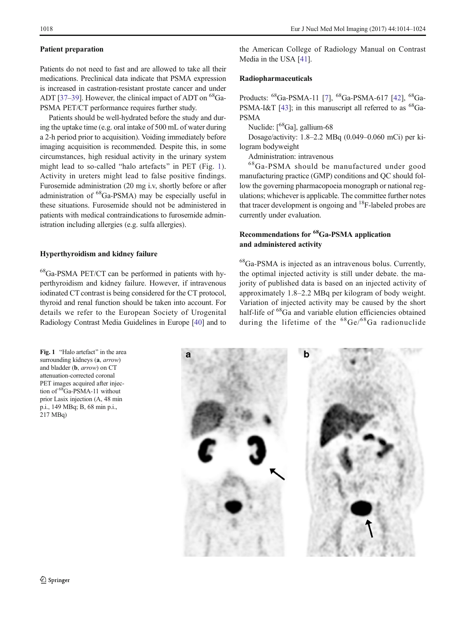#### Patient preparation

Patients do not need to fast and are allowed to take all their medications. Preclinical data indicate that PSMA expression is increased in castration-resistant prostate cancer and under ADT [[37](#page-9-0)–[39](#page-10-0)]. However, the clinical impact of ADT on  ${}^{68}$ Ga-PSMA PET/CT performance requires further study.

Patients should be well-hydrated before the study and during the uptake time (e.g. oral intake of 500 mL of water during a 2-h period prior to acquisition). Voiding immediately before imaging acquisition is recommended. Despite this, in some circumstances, high residual activity in the urinary system might lead to so-called "halo artefacts" in PET (Fig. 1). Activity in ureters might lead to false positive findings. Furosemide administration (20 mg i.v, shortly before or after administration of 68Ga-PSMA) may be especially useful in these situations. Furosemide should not be administered in patients with medical contraindications to furosemide administration including allergies (e.g. sulfa allergies).

## Hyperthyroidism and kidney failure

68Ga-PSMA PET/CT can be performed in patients with hyperthyroidism and kidney failure. However, if intravenous iodinated CT contrast is being considered for the CT protocol, thyroid and renal function should be taken into account. For details we refer to the European Society of Urogenital Radiology Contrast Media Guidelines in Europe [\[40](#page-10-0)] and to

Fig. 1 "Halo artefact" in the area surrounding kidneys (a, arrow) and bladder (b, arrow) on CT attenuation-corrected coronal PET images acquired after injection of <sup>68</sup>Ga-PSMA-11 without prior Lasix injection (A, 48 min p.i., 149 MBq; B, 68 min p.i., 217 MBq)

the American College of Radiology Manual on Contrast Media in the USA [[41](#page-10-0)].

## Radiopharmaceuticals

Products: <sup>68</sup>Ga-PSMA-11 [\[7](#page-9-0)], <sup>68</sup>Ga-PSMA-617 [\[42\]](#page-10-0), <sup>68</sup>Ga-PSMA-I&T [\[43](#page-10-0)]; in this manuscript all referred to as  ${}^{68}Ga-$ PSMA

Nuclide: [<sup>68</sup>Ga], gallium-68

Dosage/activity: 1.8–2.2 MBq (0.049–0.060 mCi) per kilogram bodyweight

Administration: intravenous

68Ga-PSMA should be manufactured under good manufacturing practice (GMP) conditions and QC should follow the governing pharmacopoeia monograph or national regulations; whichever is applicable. The committee further notes that tracer development is ongoing and  $^{18}$ F-labeled probes are currently under evaluation.

# Recommendations for 68Ga-PSMA application and administered activity

68Ga-PSMA is injected as an intravenous bolus. Currently, the optimal injected activity is still under debate. the majority of published data is based on an injected activity of approximately 1.8–2.2 MBq per kilogram of body weight. Variation of injected activity may be caused by the short half-life of <sup>68</sup>Ga and variable elution efficiencies obtained during the lifetime of the  ${}^{68}Ge/{}^{68}Ga$  radionuclide

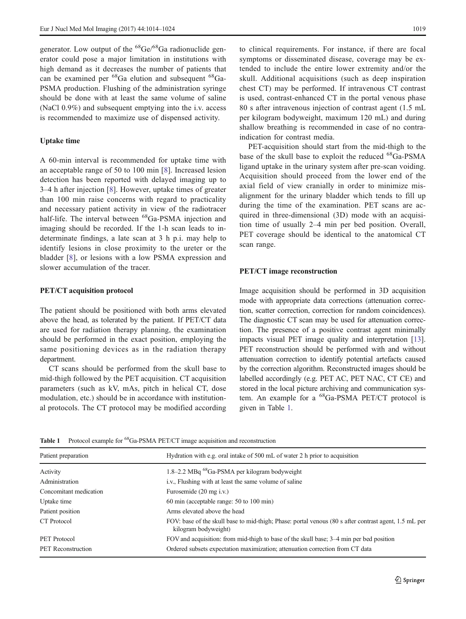generator. Low output of the  ${}^{68}Ge/{}^{68}Ga$  radionuclide generator could pose a major limitation in institutions with high demand as it decreases the number of patients that can be examined per 68Ga elution and subsequent 68Ga-PSMA production. Flushing of the administration syringe should be done with at least the same volume of saline (NaCl 0.9%) and subsequent emptying into the i.v. access is recommended to maximize use of dispensed activity.

## Uptake time

A 60-min interval is recommended for uptake time with an acceptable range of 50 to 100 min [[8\]](#page-9-0). Increased lesion detection has been reported with delayed imaging up to 3–4 h after injection [[8\]](#page-9-0). However, uptake times of greater than 100 min raise concerns with regard to practicality and necessary patient activity in view of the radiotracer half-life. The interval between <sup>68</sup>Ga-PSMA injection and imaging should be recorded. If the 1-h scan leads to indeterminate findings, a late scan at 3 h p.i. may help to identify lesions in close proximity to the ureter or the bladder [\[8\]](#page-9-0), or lesions with a low PSMA expression and slower accumulation of the tracer.

## PET/CT acquisition protocol

The patient should be positioned with both arms elevated above the head, as tolerated by the patient. If PET/CT data are used for radiation therapy planning, the examination should be performed in the exact position, employing the same positioning devices as in the radiation therapy department.

CT scans should be performed from the skull base to mid-thigh followed by the PET acquisition. CT acquisition parameters (such as kV, mAs, pitch in helical CT, dose modulation, etc.) should be in accordance with institutional protocols. The CT protocol may be modified according

to clinical requirements. For instance, if there are focal symptoms or disseminated disease, coverage may be extended to include the entire lower extremity and/or the skull. Additional acquisitions (such as deep inspiration chest CT) may be performed. If intravenous CT contrast is used, contrast-enhanced CT in the portal venous phase 80 s after intravenous injection of contrast agent (1.5 mL per kilogram bodyweight, maximum 120 mL) and during shallow breathing is recommended in case of no contraindication for contrast media.

PET-acquisition should start from the mid-thigh to the base of the skull base to exploit the reduced <sup>68</sup>Ga-PSMA ligand uptake in the urinary system after pre-scan voiding. Acquisition should proceed from the lower end of the axial field of view cranially in order to minimize misalignment for the urinary bladder which tends to fill up during the time of the examination. PET scans are acquired in three-dimensional (3D) mode with an acquisition time of usually 2–4 min per bed position. Overall, PET coverage should be identical to the anatomical CT scan range.

#### PET/CT image reconstruction

Image acquisition should be performed in 3D acquisition mode with appropriate data corrections (attenuation correction, scatter correction, correction for random coincidences). The diagnostic CT scan may be used for attenuation correction. The presence of a positive contrast agent minimally impacts visual PET image quality and interpretation [[13\]](#page-9-0). PET reconstruction should be performed with and without attenuation correction to identify potential artefacts caused by the correction algorithm. Reconstructed images should be labelled accordingly (e.g. PET AC, PET NAC, CT CE) and stored in the local picture archiving and communication system. An example for a  ${}^{68}$ Ga-PSMA PET/CT protocol is given in Table 1.

| Patient preparation       | Hydration with e.g. oral intake of 500 mL of water 2 h prior to acquisition                                                   |  |  |  |
|---------------------------|-------------------------------------------------------------------------------------------------------------------------------|--|--|--|
| Activity                  | 1.8-2.2 MBq <sup>68</sup> Ga-PSMA per kilogram bodyweight                                                                     |  |  |  |
| Administration            | i.v., Flushing with at least the same volume of saline                                                                        |  |  |  |
| Concomitant medication    | Furosemide (20 mg i.v.)                                                                                                       |  |  |  |
| Uptake time               | 60 min (acceptable range: 50 to 100 min)                                                                                      |  |  |  |
| Patient position          | Arms elevated above the head                                                                                                  |  |  |  |
| CT Protocol               | FOV: base of the skull base to mid-thigh; Phase: portal venous (80 s after contrast agent, 1.5 mL per<br>kilogram bodyweight) |  |  |  |
| PET Protocol              | FOV and acquisition: from mid-thigh to base of the skull base; 3–4 min per bed position                                       |  |  |  |
| <b>PET</b> Reconstruction | Ordered subsets expectation maximization; attenuation correction from CT data                                                 |  |  |  |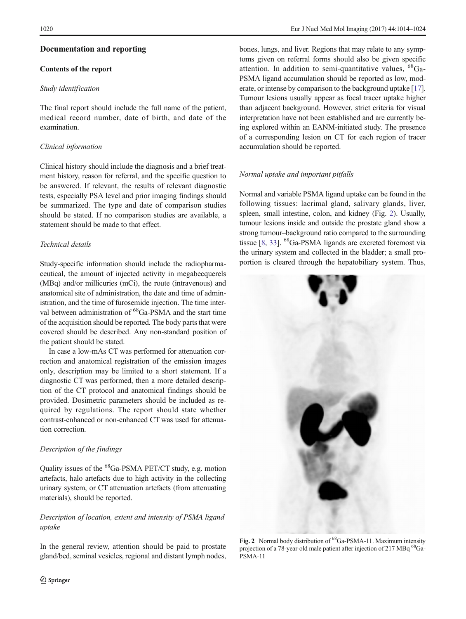## Documentation and reporting

## Contents of the report

## Study identification

The final report should include the full name of the patient, medical record number, date of birth, and date of the examination.

## Clinical information

Clinical history should include the diagnosis and a brief treatment history, reason for referral, and the specific question to be answered. If relevant, the results of relevant diagnostic tests, especially PSA level and prior imaging findings should be summarized. The type and date of comparison studies should be stated. If no comparison studies are available, a statement should be made to that effect.

# Technical details

Study-specific information should include the radiopharmaceutical, the amount of injected activity in megabecquerels (MBq) and/or millicuries (mCi), the route (intravenous) and anatomical site of administration, the date and time of administration, and the time of furosemide injection. The time interval between administration of <sup>68</sup>Ga-PSMA and the start time of the acquisition should be reported. The body parts that were covered should be described. Any non-standard position of the patient should be stated.

In case a low-mAs CT was performed for attenuation correction and anatomical registration of the emission images only, description may be limited to a short statement. If a diagnostic CT was performed, then a more detailed description of the CT protocol and anatomical findings should be provided. Dosimetric parameters should be included as required by regulations. The report should state whether contrast-enhanced or non-enhanced CT was used for attenuation correction.

#### Description of the findings

Quality issues of the 68Ga-PSMA PET/CT study, e.g. motion artefacts, halo artefacts due to high activity in the collecting urinary system, or CT attenuation artefacts (from attenuating materials), should be reported.

# Description of location, extent and intensity of PSMA ligand uptake

In the general review, attention should be paid to prostate gland/bed, seminal vesicles, regional and distant lymph nodes, bones, lungs, and liver. Regions that may relate to any symptoms given on referral forms should also be given specific attention. In addition to semi-quantitative values, 68Ga-PSMA ligand accumulation should be reported as low, moderate, or intense by comparison to the background uptake [[17\]](#page-9-0). Tumour lesions usually appear as focal tracer uptake higher than adjacent background. However, strict criteria for visual interpretation have not been established and are currently being explored within an EANM-initiated study. The presence of a corresponding lesion on CT for each region of tracer accumulation should be reported.

#### Normal uptake and important pitfalls

Normal and variable PSMA ligand uptake can be found in the following tissues: lacrimal gland, salivary glands, liver, spleen, small intestine, colon, and kidney (Fig. 2). Usually, tumour lesions inside and outside the prostate gland show a strong tumour–background ratio compared to the surrounding tissue [\[8,](#page-9-0) [33](#page-9-0)]. 68Ga-PSMA ligands are excreted foremost via the urinary system and collected in the bladder; a small proportion is cleared through the hepatobiliary system. Thus,



Fig. 2 Normal body distribution of 68Ga-PSMA-11. Maximum intensity projection of a 78-year-old male patient after injection of 217 MBq <sup>68</sup>Ga-PSMA-11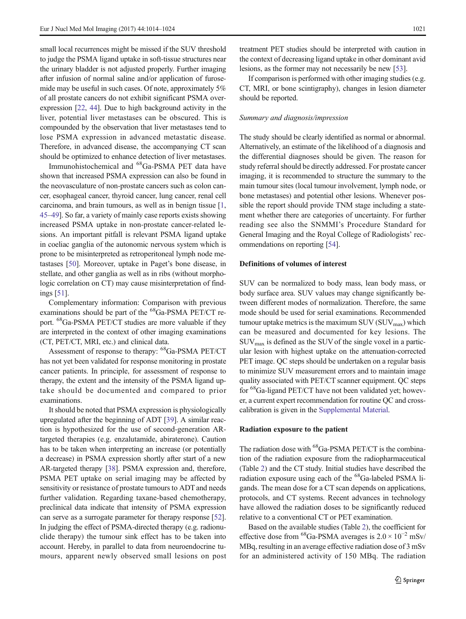small local recurrences might be missed if the SUV threshold to judge the PSMA ligand uptake in soft-tissue structures near the urinary bladder is not adjusted properly. Further imaging after infusion of normal saline and/or application of furosemide may be useful in such cases. Of note, approximately 5% of all prostate cancers do not exhibit significant PSMA overexpression [\[22,](#page-9-0) [44](#page-10-0)]. Due to high background activity in the liver, potential liver metastases can be obscured. This is compounded by the observation that liver metastases tend to lose PSMA expression in advanced metastatic disease. Therefore, in advanced disease, the accompanying CT scan should be optimized to enhance detection of liver metastases.

Immunohistochemical and 68Ga-PSMA PET data have shown that increased PSMA expression can also be found in the neovasculature of non-prostate cancers such as colon cancer, esophageal cancer, thyroid cancer, lung cancer, renal cell carcinoma, and brain tumours, as well as in benign tissue [[1,](#page-8-0) [45](#page-10-0)–[49](#page-10-0)]. So far, a variety of mainly case reports exists showing increased PSMA uptake in non-prostate cancer-related lesions. An important pitfall is relevant PSMA ligand uptake in coeliac ganglia of the autonomic nervous system which is prone to be misinterpreted as retroperitoneal lymph node metastases [[50](#page-10-0)]. Moreover, uptake in Paget's bone disease, in stellate, and other ganglia as well as in ribs (without morphologic correlation on CT) may cause misinterpretation of findings [\[51\]](#page-10-0).

Complementary information: Comparison with previous examinations should be part of the 68Ga-PSMA PET/CT report. 68Ga-PSMA PET/CT studies are more valuable if they are interpreted in the context of other imaging examinations (CT, PET/CT, MRI, etc.) and clinical data.

Assessment of response to therapy: <sup>68</sup>Ga-PSMA PET/CT has not yet been validated for response monitoring in prostate cancer patients. In principle, for assessment of response to therapy, the extent and the intensity of the PSMA ligand uptake should be documented and compared to prior examinations.

It should be noted that PSMA expression is physiologically upregulated after the beginning of ADT [[39](#page-10-0)]. A similar reaction is hypothesized for the use of second-generation ARtargeted therapies (e.g. enzalutamide, abiraterone). Caution has to be taken when interpreting an increase (or potentially a decrease) in PSMA expression shortly after start of a new AR-targeted therapy [[38\]](#page-10-0). PSMA expression and, therefore, PSMA PET uptake on serial imaging may be affected by sensitivity or resistance of prostate tumours to ADT and needs further validation. Regarding taxane-based chemotherapy, preclinical data indicate that intensity of PSMA expression can serve as a surrogate parameter for therapy response [[52\]](#page-10-0). In judging the effect of PSMA-directed therapy (e.g. radionuclide therapy) the tumour sink effect has to be taken into account. Hereby, in parallel to data from neuroendocrine tumours, apparent newly observed small lesions on post

treatment PET studies should be interpreted with caution in the context of decreasing ligand uptake in other dominant avid lesions, as the former may not necessarily be new [[53\]](#page-10-0).

If comparison is performed with other imaging studies (e.g. CT, MRI, or bone scintigraphy), changes in lesion diameter should be reported.

#### Summary and diagnosis/impression

The study should be clearly identified as normal or abnormal. Alternatively, an estimate of the likelihood of a diagnosis and the differential diagnoses should be given. The reason for study referral should be directly addressed. For prostate cancer imaging, it is recommended to structure the summary to the main tumour sites (local tumour involvement, lymph node, or bone metastases) and potential other lesions. Whenever possible the report should provide TNM stage including a statement whether there are categories of uncertainty. For further reading see also the SNMMI's Procedure Standard for General Imaging and the Royal College of Radiologists' recommendations on reporting [[54](#page-10-0)].

## Definitions of volumes of interest

SUV can be normalized to body mass, lean body mass, or body surface area. SUV values may change significantly between different modes of normalization. Therefore, the same mode should be used for serial examinations. Recommended tumour uptake metrics is the maximum  $\text{SUV}$  ( $\text{SUV}_{\text{max}}$ ) which can be measured and documented for key lesions. The  $\text{SUV}_{\text{max}}$  is defined as the SUV of the single voxel in a particular lesion with highest uptake on the attenuation-corrected PET image. QC steps should be undertaken on a regular basis to minimize SUV measurement errors and to maintain image quality associated with PET/CT scanner equipment. QC steps for <sup>68</sup>Ga-ligand PET/CT have not been validated yet; however, a current expert recommendation for routine QC and crosscalibration is given in the Supplemental Material.

#### Radiation exposure to the patient

The radiation dose with <sup>68</sup>Ga-PSMA PET/CT is the combination of the radiation exposure from the radiopharmaceutical (Table [2](#page-8-0)) and the CT study. Initial studies have described the radiation exposure using each of the <sup>68</sup>Ga-labeled PSMA ligands. The mean dose for a CT scan depends on applications, protocols, and CT systems. Recent advances in technology have allowed the radiation doses to be significantly reduced relative to a conventional CT or PET examination.

Based on the available studies (Table [2\)](#page-8-0), the coefficient for effective dose from <sup>68</sup>Ga-PSMA averages is  $2.0 \times 10^{-2}$  mSv/ MBq, resulting in an average effective radiation dose of 3 mSv for an administered activity of 150 MBq. The radiation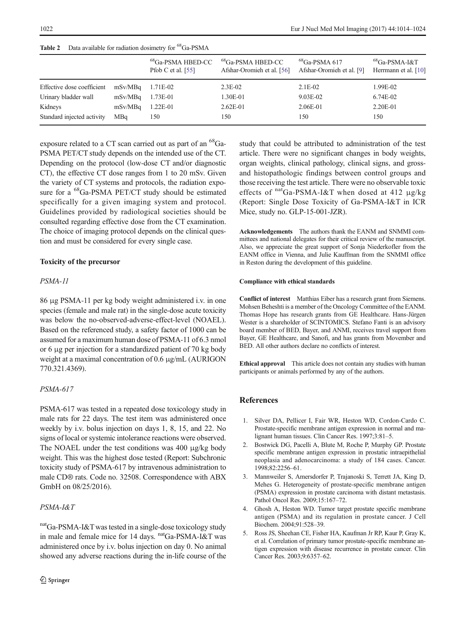|                            |         | <sup>68</sup> Ga-PSMA HBED-CC<br>Pfob C et al. $[55]$ | $^{68}$ Ga-PSMA HBED-CC<br>Afshar-Oromieh et al. [56] | ${}^{68}$ Ga-PSMA 617<br>Afshar-Oromieh et al. [9] | $^{68}$ Ga-PSMA-I&T<br>Herrmann et al. [10] |
|----------------------------|---------|-------------------------------------------------------|-------------------------------------------------------|----------------------------------------------------|---------------------------------------------|
| Effective dose coefficient | mSv/MBq | 1.71E-02                                              | $2.3E-02$                                             | $2.1E-02$                                          | 1.99E-02                                    |
| Urinary bladder wall       | mSv/MBq | 1.73E-01                                              | 1.30E-01                                              | 9.03E-02                                           | 6.74E-02                                    |
| Kidneys                    | mSv/MBq | $1.22E-01$                                            | $2.62E - 01$                                          | 2.06E-01                                           | 2.20E-01                                    |
| Standard injected activity | MBa     | 150                                                   | 150                                                   | 150                                                | 150                                         |

<span id="page-8-0"></span>Table 2 Data available for radiation dosimetry for <sup>68</sup>Ga-PSMA

exposure related to a CT scan carried out as part of an <sup>68</sup>Ga-PSMA PET/CT study depends on the intended use of the CT. Depending on the protocol (low-dose CT and/or diagnostic CT), the effective CT dose ranges from 1 to 20 mSv. Given the variety of CT systems and protocols, the radiation exposure for a <sup>68</sup>Ga-PSMA PET/CT study should be estimated specifically for a given imaging system and protocol. Guidelines provided by radiological societies should be consulted regarding effective dose from the CT examination. The choice of imaging protocol depends on the clinical question and must be considered for every single case.

# Toxicity of the precursor

# PSMA-11

86 μg PSMA-11 per kg body weight administered i.v. in one species (female and male rat) in the single-dose acute toxicity was below the no-observed-adverse-effect-level (NOAEL). Based on the referenced study, a safety factor of 1000 can be assumed for a maximum human dose of PSMA-11 of 6.3 nmol or 6 μg per injection for a standardized patient of 70 kg body weight at a maximal concentration of 0.6 μg/mL (AURIGON 770.321.4369).

# PSMA-617

PSMA-617 was tested in a repeated dose toxicology study in male rats for 22 days. The test item was administered once weekly by i.v. bolus injection on days 1, 8, 15, and 22. No signs of local or systemic intolerance reactions were observed. The NOAEL under the test conditions was 400 μg/kg body weight. This was the highest dose tested (Report: Subchronic toxicity study of PSMA-617 by intravenous administration to male CD® rats. Code no. 32508. Correspondence with ABX GmbH on 08/25/2016).

# PSMA-I&T

nat<sub>Ga-PSMA-I&T</sub> was tested in a single-dose toxicology study in male and female mice for 14 days. natGa-PSMA-I&T was administered once by i.v. bolus injection on day 0. No animal showed any adverse reactions during the in-life course of the study that could be attributed to administration of the test article. There were no significant changes in body weights, organ weights, clinical pathology, clinical signs, and grossand histopathologic findings between control groups and those receiving the test article. There were no observable toxic effects of  $natGa-PSMA-I&T$  when dosed at 412  $\mu g/kg$ (Report: Single Dose Toxicity of Ga-PSMA-I&T in ICR Mice, study no. GLP-15-001-JZR).

Acknowledgements The authors thank the EANM and SNMMI committees and national delegates for their critical review of the manuscript. Also, we appreciate the great support of Sonja Niederkofler from the EANM office in Vienna, and Julie Kauffman from the SNMMI office in Reston during the development of this guideline.

## Compliance with ethical standards

Conflict of interest Matthias Eiber has a research grant from Siemens. Mohsen Beheshti is a member of the Oncology Committee of the EANM. Thomas Hope has research grants from GE Healthcare. Hans-Jürgen Wester is a shareholder of SCINTOMICS. Stefano Fanti is an advisory board member of BED, Bayer, and ANMI, receives travel support from Bayer, GE Healthcare, and Sanofi, and has grants from Movember and BED. All other authors declare no conflicts of interest.

Ethical approval This article does not contain any studies with human participants or animals performed by any of the authors.

# References

- 1. Silver DA, Pellicer I, Fair WR, Heston WD, Cordon-Cardo C. Prostate-specific membrane antigen expression in normal and malignant human tissues. Clin Cancer Res. 1997;3:81–5.
- 2. Bostwick DG, Pacelli A, Blute M, Roche P, Murphy GP. Prostate specific membrane antigen expression in prostatic intraepithelial neoplasia and adenocarcinoma: a study of 184 cases. Cancer. 1998;82:2256–61.
- 3. Mannweiler S, Amersdorfer P, Trajanoski S, Terrett JA, King D, Mehes G. Heterogeneity of prostate-specific membrane antigen (PSMA) expression in prostate carcinoma with distant metastasis. Pathol Oncol Res. 2009;15:167–72.
- 4. Ghosh A, Heston WD. Tumor target prostate specific membrane antigen (PSMA) and its regulation in prostate cancer. J Cell Biochem. 2004;91:528–39.
- 5. Ross JS, Sheehan CE, Fisher HA, Kaufman Jr RP, Kaur P, Gray K, et al. Correlation of primary tumor prostate-specific membrane antigen expression with disease recurrence in prostate cancer. Clin Cancer Res. 2003;9:6357–62.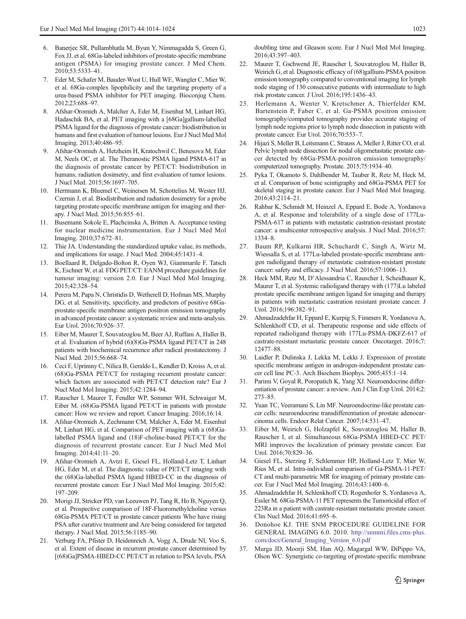- <span id="page-9-0"></span>6. Banerjee SR, Pullambhatla M, Byun Y, Nimmagadda S, Green G, Fox JJ, et al. 68Ga-labeled inhibitors of prostate-specific membrane antigen (PSMA) for imaging prostate cancer. J Med Chem. 2010;53:5333–41.
- 7. Eder M, Schafer M, Bauder-Wust U, Hull WE, Wangler C, Mier W, et al. 68Ga-complex lipophilicity and the targeting property of a urea-based PSMA inhibitor for PET imaging. Bioconjug Chem. 2012;23:688–97.
- 8. Afshar-Oromieh A, Malcher A, Eder M, Eisenhut M, Linhart HG, Hadaschik BA, et al. PET imaging with a [68Ga]gallium-labelled PSMA ligand for the diagnosis of prostate cancer: biodistribution in humans and first evaluation of tumour lesions. Eur J Nucl Med Mol Imaging. 2013;40:486–95.
- 9. Afshar-Oromieh A, Hetzheim H, Kratochwil C, Benesova M, Eder M, Neels OC, et al. The Theranostic PSMA ligand PSMA-617 in the diagnosis of prostate cancer by PET/CT: biodistribution in humans, radiation dosimetry, and first evaluation of tumor lesions. J Nucl Med. 2015;56:1697–705.
- 10. Herrmann K, Bluemel C, Weineisen M, Schottelius M, Wester HJ, Czernin J, et al. Biodistribution and radiation dosimetry for a probe targeting prostate-specific membrane antigen for imaging and therapy. J Nucl Med. 2015;56:855–61.
- 11. Busemann Sokole E, Plachcinska A, Britten A. Acceptance testing for nuclear medicine instrumentation. Eur J Nucl Med Mol Imaging. 2010;37:672–81.
- 12. Thie JA. Understanding the standardized uptake value, its methods, and implications for usage. J Nucl Med. 2004;45:1431–4.
- 13. Boellaard R, Delgado-Bolton R, Oyen WJ, Giammarile F, Tatsch K, Eschner W, et al. FDG PET/CT: EANM procedure guidelines for tumour imaging: version 2.0. Eur J Nucl Med Mol Imaging. 2015;42:328–54.
- 14. Perera M, Papa N, Christidis D, Wetherell D, Hofman MS, Murphy DG, et al. Sensitivity, specificity, and predictors of positive 68Gaprostate-specific membrane antigen positron emission tomography in advanced prostate cancer: a systematic review and meta-analysis. Eur Urol. 2016;70:926–37.
- 15. Eiber M, Maurer T, Souvatzoglou M, Beer AJ, Ruffani A, Haller B, et al. Evaluation of hybrid (6)(8)Ga-PSMA ligand PET/CT in 248 patients with biochemical recurrence after radical prostatectomy. J Nucl Med. 2015;56:668–74.
- 16. Ceci F, Uprimny C, Nilica B, Geraldo L, Kendler D, Kroiss A, et al. (68)Ga-PSMA PET/CT for restaging recurrent prostate cancer: which factors are associated with PET/CT detection rate? Eur J Nucl Med Mol Imaging. 2015;42:1284–94.
- 17. Rauscher I, Maurer T, Fendler WP, Sommer WH, Schwaiger M, Eiber M. (68)Ga-PSMA ligand PET/CT in patients with prostate cancer: How we review and report. Cancer Imaging. 2016;16:14.
- 18. Afshar-Oromieh A, Zechmann CM, Malcher A, Eder M, Eisenhut M, Linhart HG, et al. Comparison of PET imaging with a (68)Galabelled PSMA ligand and (18)F-choline-based PET/CT for the diagnosis of recurrent prostate cancer. Eur J Nucl Med Mol Imaging. 2014;41:11–20.
- 19. Afshar-Oromieh A, Avtzi E, Giesel FL, Holland-Letz T, Linhart HG, Eder M, et al. The diagnostic value of PET/CT imaging with the (68)Ga-labelled PSMA ligand HBED-CC in the diagnosis of recurrent prostate cancer. Eur J Nucl Med Mol Imaging. 2015;42: 197–209.
- 20. Morigi JJ, Stricker PD, van Leeuwen PJ, Tang R, Ho B, Nguyen Q, et al. Prospective comparison of 18F-Fluoromethylcholine versus 68Ga-PSMA PET/CT in prostate cancer patients Who have rising PSA after curative treatment and Are being considered for targeted therapy. J Nucl Med. 2015;56:1185–90.
- 21. Verburg FA, Pfister D, Heidenreich A, Vogg A, Drude NI, Voo S, et al. Extent of disease in recurrent prostate cancer determined by [(68)Ga]PSMA-HBED-CC PET/CT in relation to PSA levels, PSA

doubling time and Gleason score. Eur J Nucl Med Mol Imaging. 2016;43:397–403.

- 22. Maurer T, Gschwend JE, Rauscher I, Souvatzoglou M, Haller B, Weirich G, et al. Diagnostic efficacy of (68)gallium-PSMA positron emission tomography compared to conventional imaging for lymph node staging of 130 consecutive patients with intermediate to high risk prostate cancer. J Urol. 2016;195:1436–43.
- 23. Herlemann A, Wenter V, Kretschmer A, Thierfelder KM, Bartenstein P, Faber C, et al. Ga-PSMA positron emission tomography/computed tomography provides accurate staging of lymph node regions prior to lymph node dissection in patients with prostate cancer. Eur Urol. 2016;70:553–7.
- 24. Hijazi S, Meller B, Leitsmann C, Strauss A, Meller J, Ritter CO, et al. Pelvic lymph node dissection for nodal oligometastatic prostate cancer detected by 68Ga-PSMA-positron emission tomography/ computerized tomography. Prostate. 2015;75:1934–40.
- 25. Pyka T, Okamoto S, Dahlbender M, Tauber R, Retz M, Heck M, et al. Comparison of bone scintigraphy and 68Ga-PSMA PET for skeletal staging in prostate cancer. Eur J Nucl Med Mol Imaging. 2016;43:2114–21.
- 26. Rahbar K, Schmidt M, Heinzel A, Eppard E, Bode A, Yordanova A, et al. Response and tolerability of a single dose of 177Lu-PSMA-617 in patients with metastatic castration-resistant prostate cancer: a multicenter retrospective analysis. J Nucl Med. 2016;57: 1334–8.
- 27. Baum RP, Kulkarni HR, Schuchardt C, Singh A, Wirtz M, Wiessalla S, et al. 177Lu-labeled prostate-specific membrane antigen radioligand therapy of metastatic castration-resistant prostate cancer: safety and efficacy. J Nucl Med. 2016;57:1006–13.
- 28. Heck MM, Retz M, D'Alessandria C, Rauscher I, Scheidhauer K, Maurer T, et al. Systemic radioligand therapy with (177)Lu labeled prostate specific membrane antigen ligand for imaging and therapy in patients with metastatic castration resistant prostate cancer. J Urol. 2016;196:382–91.
- 29. Ahmadzadehfar H, Eppard E, Kurpig S, Fimmers R, Yordanova A, Schlenkhoff CD, et al. Therapeutic response and side effects of repeated radioligand therapy with 177Lu-PSMA-DKFZ-617 of castrate-resistant metastatic prostate cancer. Oncotarget. 2016;7: 12477–88.
- 30. Laidler P, Dulinska J, Lekka M, Lekki J. Expression of prostate specific membrane antigen in androgen-independent prostate cancer cell line PC-3. Arch Biochem Biophys. 2005;435:1–14.
- 31. Parimi V, Goyal R, Poropatich K, Yang XJ. Neuroendocrine differentiation of prostate cancer: a review. Am J Clin Exp Urol. 2014;2: 273–85.
- 32. Yuan TC, Veeramani S, Lin MF. Neuroendocrine-like prostate cancer cells: neuroendocrine transdifferentiation of prostate adenocarcinoma cells. Endocr Relat Cancer. 2007;14:531–47.
- 33. Eiber M, Weirich G, Holzapfel K, Souvatzoglou M, Haller B, Rauscher I, et al. Simultaneous 68Ga-PSMA HBED-CC PET/ MRI improves the localization of primary prostate cancer. Eur Urol. 2016;70:829–36.
- 34. Giesel FL, Sterzing F, Schlemmer HP, Holland-Letz T, Mier W, Rius M, et al. Intra-individual comparison of Ga-PSMA-11-PET/ CT and multi-parametric MR for imaging of primary prostate cancer. Eur J Nucl Med Mol Imaging. 2016;43:1400–6.
- 35. Ahmadzadehfar H, Schlenkhoff CD, Rogenhofer S, Yordanova A, Essler M. 68Ga-PSMA-11 PET represents the Tumoricidal effect of 223Ra in a patient with castrate-resistant metastatic prostate cancer. Clin Nucl Med. 2016;41:695–6.
- 36. Donohoe KJ. THE SNM PROCEDURE GUIDELINE FOR GENERAL IMAGING 6.0. 2010. [http://snmmi.files.cms-plus.](http://snmmi.files.cms-plus.com/docs/General_Imaging_Version_6.0.pdf) [com/docs/General\\_Imaging\\_Version\\_6.0.pdf](http://snmmi.files.cms-plus.com/docs/General_Imaging_Version_6.0.pdf)
- 37. Murga JD, Moorji SM, Han AQ, Magargal WW, DiPippo VA, Olson WC. Synergistic co-targeting of prostate-specific membrane